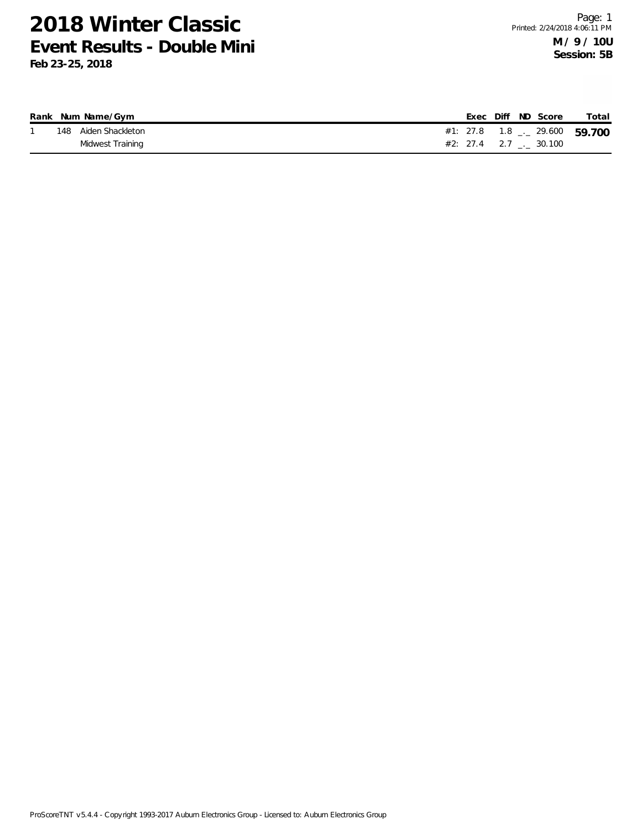|  | Rank Num Name/Gym    |                           |  | Exec Diff ND Score | Total |
|--|----------------------|---------------------------|--|--------------------|-------|
|  | 148 Aiden Shackleton |                           |  |                    |       |
|  | Midwest Training     | $\#2$ : 27.4 2.7 . 30.100 |  |                    |       |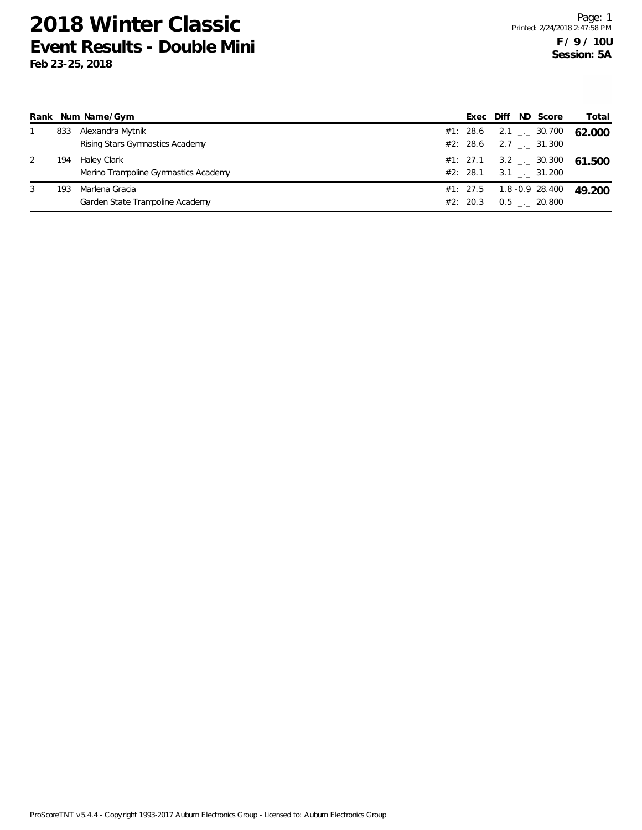| Rank |     | Num Name/Gym                                        | Exec                 | Diff | ND Score                                                          | Total  |
|------|-----|-----------------------------------------------------|----------------------|------|-------------------------------------------------------------------|--------|
|      | 833 | Alexandra Mytnik<br>Rising Stars Gymnastics Academy | #1: 28.6<br>#2: 28.6 |      | 2.1 $\frac{1}{2}$ 30.700<br>$2.7$ $_{\sim}$ 31.300                | 62.000 |
| 2    | 194 | Haley Clark<br>Merino Trampoline Gymnastics Academy |                      |      | #1: 27.1 3.2 $\frac{1}{2}$ 30.300<br>#2: 28.1 3.1 $\ldots$ 31.200 | 61.500 |
| 3    | 193 | Marlena Gracia<br>Garden State Trampoline Academy   | #2: 20.3             |      | $#1: 27.5$ 1.8 -0.9 28.400<br>$0.5$ _._ 20.800                    | 49.200 |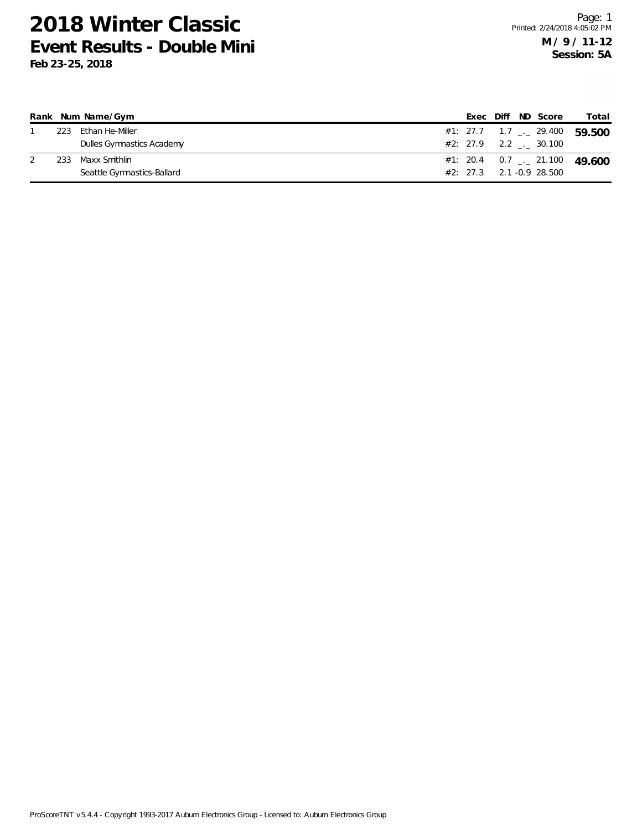|     | Rank Num Name/Gym          |  |  | Exec Diff ND Score         | Total                                    |
|-----|----------------------------|--|--|----------------------------|------------------------------------------|
| 223 | Ethan He-Miller            |  |  |                            | #1: 27.7 1.7 $\sim$ 29.400 59.500        |
|     | Dulles Gymnastics Academy  |  |  | $\#2: 27.9$ 2.2 . 30.100   |                                          |
| 233 | Maxx Smithlin              |  |  |                            | #1: 20.4 0.7 $\frac{1}{2}$ 21.100 49.600 |
|     | Seattle Gymnastics-Ballard |  |  | $#2: 27.3$ 2.1 -0.9 28.500 |                                          |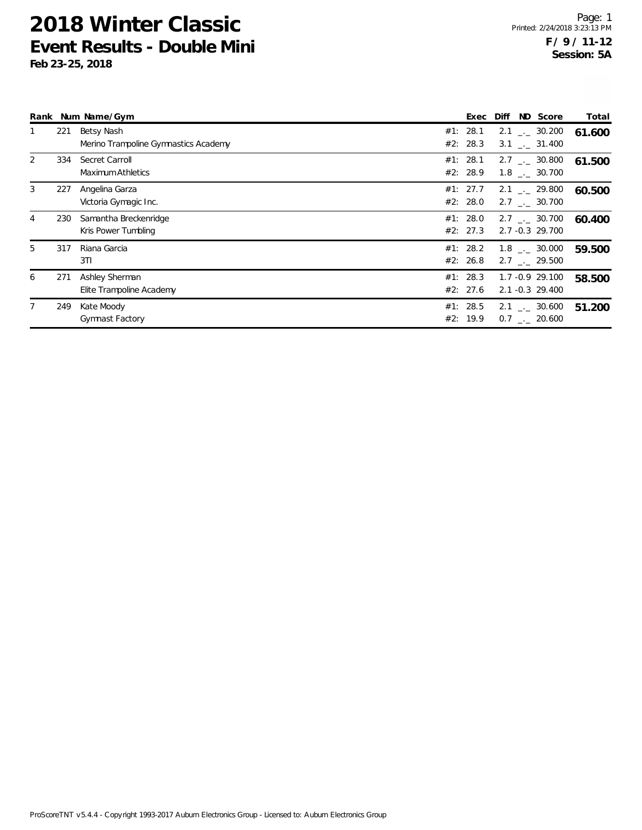|   |     | Rank Num Name/Gym                                  | Exec                 | Diff | ND Score                                               | Total  |
|---|-----|----------------------------------------------------|----------------------|------|--------------------------------------------------------|--------|
|   | 221 | Betsy Nash<br>Merino Trampoline Gymnastics Academy | #1: 28.1<br>#2: 28.3 |      | $2.1$ $_{\leftarrow}$ 30.200<br>$3.1$ $_{-1}$ $31.400$ | 61.600 |
| 2 | 334 | Secret Carroll<br>Maximum Athletics                | #1: 28.1<br>#2: 28.9 |      | $2.7$ $_{\sim}$ 30.800<br>$1.8$ $_{\sim}$ 30.700       | 61.500 |
| 3 | 227 | Angelina Garza<br>Victoria Gymagic Inc.            | #1: 27.7<br>#2: 28.0 |      | $2.1$ $_{-}$ 29.800<br>2.7 . 30.700                    | 60.500 |
| 4 | 230 | Samantha Breckenridge<br>Kris Power Tumbling       | #1: 28.0<br>#2: 27.3 |      | $2.7$ $_{\sim}$ 30.700<br>2.7 -0.3 29.700              | 60.400 |
| 5 | 317 | Riana Garcia<br>3T1                                | #1: 28.2<br>#2: 26.8 |      | $1.8$ $_{-}$ 30.000<br>$2.7$ $_{-}$ 29.500             | 59.500 |
| 6 | 271 | Ashley Sherman<br>Elite Trampoline Academy         | #1: 28.3<br>#2: 27.6 |      | 1.7 -0.9 29.100<br>$2.1 - 0.3$ 29.400                  | 58.500 |
|   | 249 | Kate Moody<br><b>Gymnast Factory</b>               | #1: 28.5<br>#2: 19.9 |      | 2.1 $\frac{1}{2}$ 30.600<br>$0.7$ _._ 20.600           | 51.200 |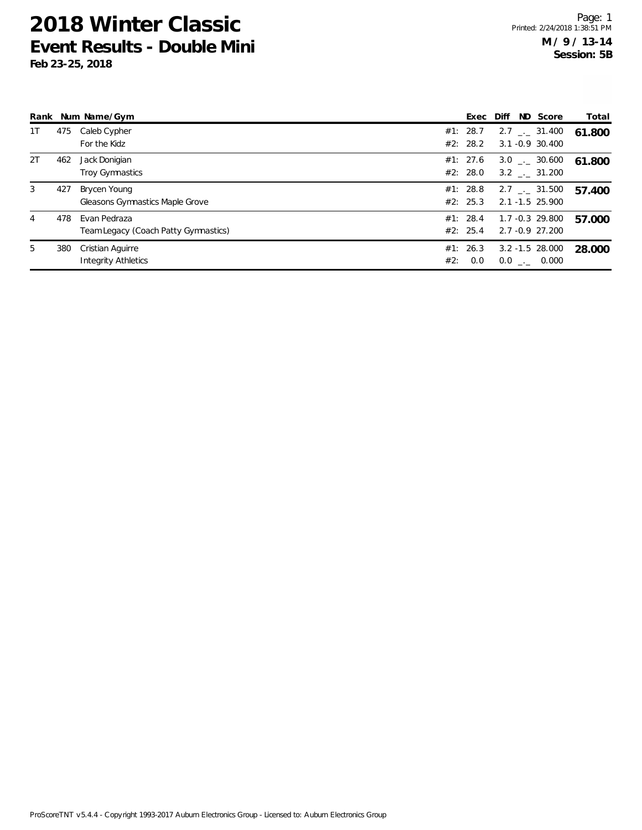|    |     | Rank Num Name/Gym                                    |     | Exec Diff            |  | ND Score                                       | Total  |
|----|-----|------------------------------------------------------|-----|----------------------|--|------------------------------------------------|--------|
| 1T | 475 | Caleb Cypher<br>For the Kidz                         |     | #1: 28.7<br>#2: 28.2 |  | $2.7$ $_{--}$ 31.400<br>3.1 -0.9 30.400        | 61.800 |
| 2T | 462 | Jack Donigian<br>Troy Gymnastics                     |     | #1: 27.6<br>#2: 28.0 |  | $3.0$ $_{--}$ 30.600<br>$3.2$ $_{\sim}$ 31.200 | 61.800 |
| 3  | 427 | Brycen Young<br>Gleasons Gymnastics Maple Grove      |     | #1: 28.8<br>#2: 25.3 |  | $2.7$ $_{--}$ 31.500<br>2.1 -1.5 25.900        | 57.400 |
| 4  | 478 | Evan Pedraza<br>Team Legacy (Coach Patty Gymnastics) |     | #1: 28.4<br>#2: 25.4 |  | 1.7 -0.3 29.800<br>2.7 -0.9 27.200             | 57.000 |
| 5  | 380 | Cristian Aguirre<br><b>Integrity Athletics</b>       | #2: | #1: 26.3<br>0.0      |  | $3.2 - 1.5$ 28.000<br>$0.0$ _._ 0.000          | 28.000 |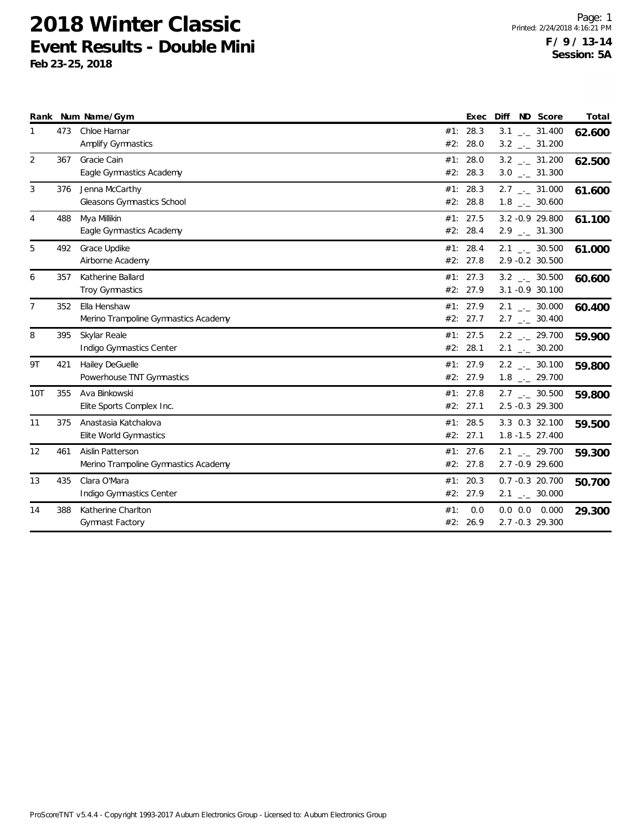|                |     | Rank Num Name/Gym                                        |            | Exec                 | ND Score<br>Diff                                             | Total  |
|----------------|-----|----------------------------------------------------------|------------|----------------------|--------------------------------------------------------------|--------|
| 1              | 473 | Chloe Harnar<br>Amplify Gymnastics                       | #2:        | #1: 28.3<br>28.0     | $3.1$ $_{-}$ 31.400<br>$3.2$ $_{-1}$ 31.200                  | 62.600 |
| 2              | 367 | Gracie Cain<br>Eagle Gymnastics Academy                  |            | #1: 28.0<br>#2: 28.3 | $3.2$ $-2$ 31.200<br>$3.0$ $_{-}$ 31.300                     | 62.500 |
| 3              | 376 | Jenna McCarthy<br>Gleasons Gymnastics School             | #1:        | 28.3<br>#2: 28.8     | $2.7$ $_{\leftarrow}$ 31.000<br>$1.8$ $_{-}$ 30.600          | 61.600 |
| 4              | 488 | Mya Millikin<br>Eagle Gymnastics Academy                 |            | #1: 27.5<br>#2: 28.4 | 3.2 - 0.9 29.800<br>$2.9$ $_{\leftarrow}$ 31.300             | 61.100 |
| 5              | 492 | Grace Updike<br>Airborne Academy                         |            | #1: 28.4<br>#2: 27.8 | $2.1$ _._ 30.500<br>2.9 -0.2 30.500                          | 61.000 |
| 6              | 357 | Katherine Ballard<br>Troy Gymnastics                     |            | #1: 27.3<br>#2: 27.9 | $3.2$ _._ 30.500<br>3.1 - 0.9 30.100                         | 60.600 |
| $\overline{7}$ | 352 | Ella Henshaw<br>Merino Trampoline Gymnastics Academy     |            | #1: 27.9<br>#2: 27.7 | $2.1$ $_{-}$ 30.000<br>$2.7$ $_{\leftarrow}$ 30.400          | 60.400 |
| 8              | 395 | Skylar Reale<br>Indigo Gymnastics Center                 | #1:        | 27.5<br>#2: 28.1     | $2.2$ $_{-}$ 29.700<br>$2.1$ _._ 30.200                      | 59.900 |
| 9T             | 421 | Hailey DeGuelle<br>Powerhouse TNT Gymnastics             |            | #1: 27.9<br>#2: 27.9 | $2.2$ $_{\leftarrow}$ 30.100<br>$1.8$ $_{\leftarrow}$ 29.700 | 59.800 |
| 10T            | 355 | Ava Binkowski<br>Elite Sports Complex Inc.               |            | #1: 27.8<br>#2: 27.1 | $2.7$ $_{\leftarrow}$ 30.500<br>2.5 -0.3 29.300              | 59.800 |
| 11             | 375 | Anastasia Katchalova<br>Elite World Gymnastics           | #1:        | 28.5<br>#2: 27.1     | 3.3 0.3 32.100<br>1.8 -1.5 27.400                            | 59.500 |
| 12             | 461 | Aislin Patterson<br>Merino Trampoline Gymnastics Academy |            | #1: 27.6<br>#2: 27.8 | $2.1$ $_{-}$ 29.700<br>2.7 -0.9 29.600                       | 59.300 |
| 13             | 435 | Clara O'Mara<br>Indigo Gymnastics Center                 | #1:        | 20.3<br>#2: 27.9     | $0.7 - 0.3$ 20.700<br>$2.1$ $_{\leftarrow}$ 30.000           | 50.700 |
| 14             | 388 | Katherine Charlton<br>Gymnast Factory                    | #1:<br>#2: | 0.0<br>26.9          | $0.0\ 0.0$<br>0.000<br>2.7 -0.3 29.300                       | 29.300 |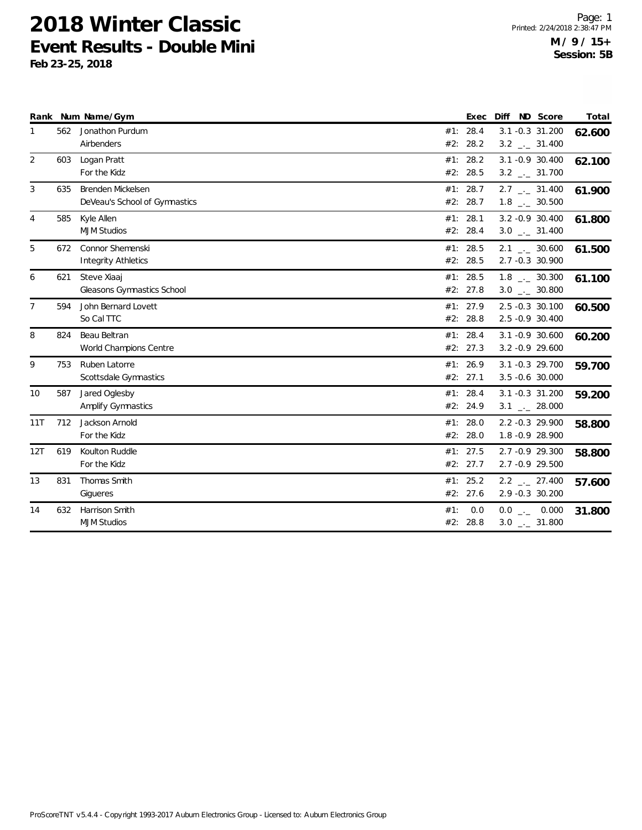|                |     | Rank Num Name/Gym                                     | Exec                      | ND Score<br><b>Diff</b>                                      | Total  |
|----------------|-----|-------------------------------------------------------|---------------------------|--------------------------------------------------------------|--------|
| 1              | 562 | Jonathon Purdum<br>Airbenders                         | #1: 28.4<br>#2:<br>28.2   | 3.1 -0.3 31.200<br>$3.2$ _._ 31.400                          | 62.600 |
| 2              | 603 | Logan Pratt<br>For the Kidz                           | #1: 28.2<br>28.5<br>#2:   | 3.1 -0.9 30.400<br>$3.2$ $_{\leftarrow}$ 31.700              | 62.100 |
| 3              | 635 | Brenden Mickelsen<br>DeVeau's School of Gymnastics    | 28.7<br>#1:<br>#2: 28.7   | $2.7$ $_{\leftarrow}$ 31.400<br>$1.8$ $_{\leftarrow}$ 30.500 | 61.900 |
| 4              | 585 | Kyle Allen<br><b>MJM Studios</b>                      | #1: 28.1<br>28.4<br>#2:   | 3.2 - 0.9 30.400<br>$3.0$ __ 31.400                          | 61.800 |
| 5              | 672 | <b>Connor Shemenski</b><br><b>Integrity Athletics</b> | #1: 28.5<br>#2: 28.5      | $2.1$ _._ 30.600<br>2.7 -0.3 30.900                          | 61.500 |
| 6              | 621 | Steve Xiaaj<br>Gleasons Gymnastics School             | 28.5<br>#1:<br>#2: 27.8   | $1.8$ _._ 30.300<br>$3.0$ _ 30.800                           | 61.100 |
| $\overline{7}$ | 594 | John Bernard Lovett<br>So Cal TTC                     | #1: 27.9<br>#2: 28.8      | 2.5 -0.3 30.100<br>2.5 -0.9 30.400                           | 60.500 |
| 8              | 824 | Beau Beltran<br>World Champions Centre                | #1: 28.4<br>#2: 27.3      | 3.1 -0.9 30.600<br>$3.2 -0.9$ 29.600                         | 60.200 |
| 9              | 753 | Ruben Latorre<br>Scottsdale Gymnastics                | #1: 26.9<br>#2: 27.1      | 3.1 -0.3 29.700<br>3.5 -0.6 30.000                           | 59.700 |
| 10             | 587 | Jared Oglesby<br><b>Amplify Gymnastics</b>            | #1: 28.4<br>#2: 24.9      | 3.1 -0.3 31.200<br>$3.1$ $_{-}$ 28.000                       | 59.200 |
| 11T            | 712 | Jackson Arnold<br>For the Kidz                        | 28.0<br>#1:<br>#2: 28.0   | 2.2 -0.3 29.900<br>1.8 -0.9 28.900                           | 58.800 |
| 12T            | 619 | Koulton Ruddle<br>For the Kidz                        | #1: 27.5<br>#2: 27.7      | 2.7 -0.9 29.300<br>2.7 -0.9 29.500                           | 58.800 |
| 13             | 831 | Thomas Smith<br>Gigueres                              | #1: 25.2<br>#2: 27.6      | $2.2$ $_{\leftarrow}$ 27.400<br>2.9 -0.3 30.200              | 57.600 |
| 14             | 632 | <b>Harrison Smith</b><br><b>MJM Studios</b>           | #1:<br>0.0<br>#2:<br>28.8 | $0.0$ _ 0.000<br>$3.0$ __ 31.800                             | 31.800 |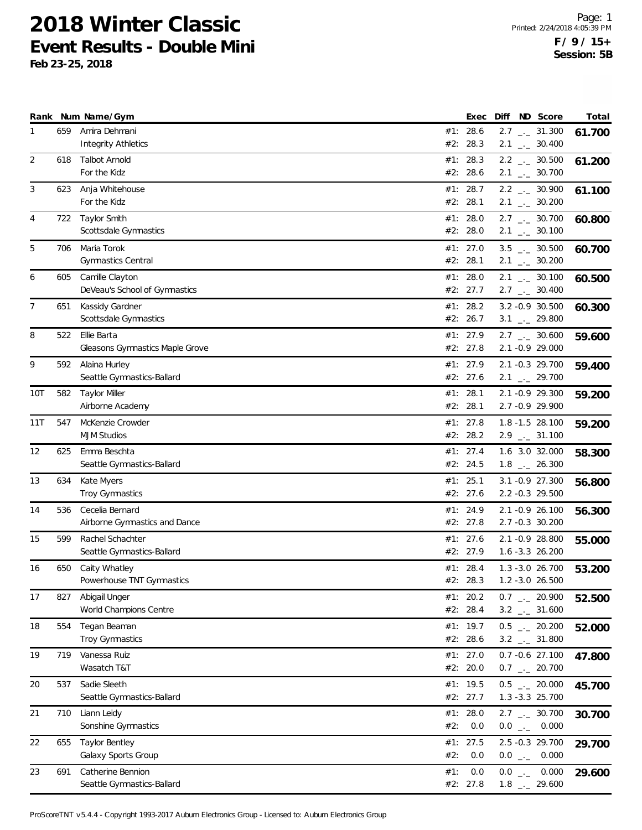**Feb 23-25, 2018**

|     |     | Rank Num Name/Gym                           |     | Exec                 | Diff                                                         | ND Score | Total  |
|-----|-----|---------------------------------------------|-----|----------------------|--------------------------------------------------------------|----------|--------|
| 1   | 659 | Amira Dehmani                               |     | #1: 28.6             | $2.7$ $_{\leftarrow}$ 31.300                                 |          | 61.700 |
|     |     | <b>Integrity Athletics</b>                  | #2: | 28.3                 | $2.1$ $_{-}$ 30.400                                          |          |        |
| 2   | 618 | <b>Talbot Arnold</b><br>For the Kidz        | #1: | 28.3<br>#2: 28.6     | $2.2$ $_{\leftarrow}$ 30.500<br>$2.1$ $_{\leftarrow}$ 30.700 |          | 61.200 |
| 3   | 623 | Anja Whitehouse                             |     | #1: 28.7             | $2.2$ $_{\leftarrow}$ 30.900                                 |          |        |
|     |     | For the Kidz                                |     | #2: 28.1             | $2.1$ $_{\leftarrow}$ 30.200                                 |          | 61.100 |
| 4   | 722 | Taylor Smith                                |     | #1: $28.0$           | $2.7$ $_{\leftarrow}$ 30.700                                 |          | 60.800 |
|     |     | Scottsdale Gymnastics                       |     | #2: 28.0             | $2.1$ $_{-}$ 30.100                                          |          |        |
| 5   | 706 | Maria Torok                                 |     | #1: 27.0             | $3.5$ $_{-}$ 30.500                                          |          | 60.700 |
|     |     | <b>Gymnastics Central</b>                   |     | #2: 28.1             | $2.1$ $_{\leftarrow}$ 30.200                                 |          |        |
| 6   | 605 | Camille Clayton                             |     | #1: $28.0$           | $2.1$ $_{-}$ 30.100                                          |          | 60.500 |
|     |     | DeVeau's School of Gymnastics               |     | #2: 27.7             | $2.7$ $_{\leftarrow}$ 30.400                                 |          |        |
| 7   | 651 | Kassidy Gardner                             |     | #1: 28.2             | 3.2 -0.9 30.500                                              |          | 60.300 |
|     |     | Scottsdale Gymnastics                       |     | #2: 26.7             | 3.1 $_{-1}$ 29.800                                           |          |        |
| 8   | 522 | Ellie Barta                                 |     | #1: 27.9             | $2.7$ $_{\leftarrow}$ 30.600                                 |          | 59.600 |
|     |     | Gleasons Gymnastics Maple Grove             |     | #2: 27.8             | 2.1 -0.9 29.000                                              |          |        |
| 9   | 592 | Alaina Hurley<br>Seattle Gymnastics-Ballard | #1: | 27.9<br>#2: 27.6     | 2.1 -0.3 29.700<br>$2.1$ $_{-1}$ 29.700                      |          | 59.400 |
|     |     |                                             |     | #1: 28.1             | 2.1 -0.9 29.300                                              |          |        |
| 10T | 582 | <b>Taylor Miller</b><br>Airborne Academy    |     | #2: 28.1             | 2.7 -0.9 29.900                                              |          | 59.200 |
| 11T | 547 | McKenzie Crowder                            |     | #1: $27.8$           | 1.8 -1.5 28.100                                              |          | 59.200 |
|     |     | <b>MJM Studios</b>                          |     | #2: 28.2             | $2.9$ $_{\leftarrow}$ 31.100                                 |          |        |
| 12  | 625 | Emma Beschta                                |     | #1: 27.4             | 1.6 3.0 32.000                                               |          | 58.300 |
|     |     | Seattle Gymnastics-Ballard                  |     | #2: 24.5             | $1.8$ $_{-}$ 26.300                                          |          |        |
| 13  | 634 | Kate Myers                                  |     | #1: 25.1             | 3.1 - 0.9 27.300                                             |          | 56.800 |
|     |     | <b>Troy Gymnastics</b>                      |     | #2: 27.6             | 2.2 -0.3 29.500                                              |          |        |
| 14  | 536 | Cecelia Bernard                             |     | #1: 24.9             | 2.1 -0.9 26.100                                              |          | 56.300 |
|     |     | Airborne Gymnastics and Dance               |     | #2: 27.8             | 2.7 -0.3 30.200                                              |          |        |
| 15  | 599 | Rachel Schachter                            | #1: | 27.6                 | 2.1 -0.9 28.800                                              |          | 55.000 |
|     |     | Seattle Gymnastics-Ballard                  |     | #2: 27.9             | 1.6 -3.3 26.200                                              |          |        |
| 16  | 650 | Caity Whatley                               |     | #1: 28.4             | $1.3 - 3.0$ 26.700                                           |          | 53.200 |
|     |     | Powerhouse TNT Gymnastics                   |     | #2: 28.3             | 1.2 -3.0 26.500                                              |          |        |
| 17  | 827 | Abigail Unger<br>World Champions Centre     |     | #1: 20.2<br>#2: 28.4 | $0.7$ _ 20.900<br>$3.2$ $_{\leftarrow}$ 31.600               |          | 52.500 |
| 18  | 554 | Tegan Beaman                                |     | #1: 19.7             | $0.5$ _ 20.200                                               |          |        |
|     |     | Troy Gymnastics                             |     | #2: 28.6             | $3.2$ $_{\leftarrow}$ 31.800                                 |          | 52.000 |
| 19  | 719 | Vanessa Ruiz                                |     | #1: $27.0$           | 0.7 -0.6 27.100                                              |          | 47.800 |
|     |     | Wasatch T&T                                 |     | #2: 20.0             | $0.7$ $_{--}$ 20.700                                         |          |        |
| 20  | 537 | Sadie Sleeth                                |     | #1: $19.5$           | $0.5$ $_{-}$ 20.000                                          |          | 45.700 |
|     |     | Seattle Gymnastics-Ballard                  |     | #2: 27.7             | 1.3 - 3.3 25.700                                             |          |        |
| 21  | 710 | Liann Leidy                                 |     | #1: $28.0$           | $2.7$ $_{\leftarrow}$ 30.700                                 |          | 30.700 |
|     |     | Sonshine Gymnastics                         | #2: | 0.0                  | $0.0$ _ 0.000                                                |          |        |
| 22  | 655 | Taylor Bentley                              |     | #1: 27.5             | 2.5 -0.3 29.700                                              |          | 29.700 |
|     |     | Galaxy Sports Group                         | #2: | 0.0                  | $0.0$ _ 0.000                                                |          |        |
| 23  | 691 | Catherine Bennion                           | #1: | 0.0                  | $0.0$ _ $-$                                                  | 0.000    | 29.600 |
|     |     | Seattle Gymnastics-Ballard                  |     | #2: 27.8             | $1.8$ $_{-}$ 29.600                                          |          |        |

ProScoreTNT v5.4.4 - Copyright 1993-2017 Auburn Electronics Group - Licensed to: Auburn Electronics Group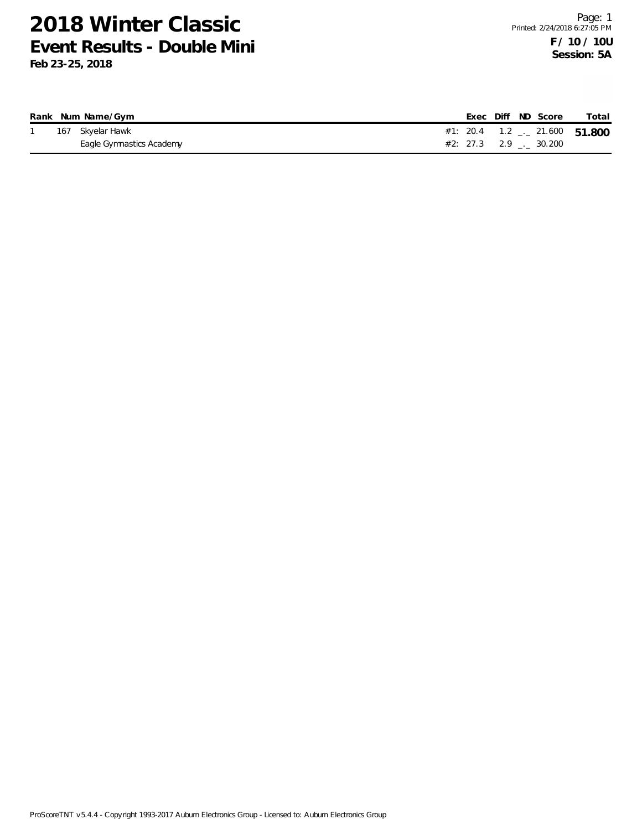|  | Rank Num Name/Gym        |  |  | Exec Diff ND Score             | Total                                 |
|--|--------------------------|--|--|--------------------------------|---------------------------------------|
|  | 167 Skyelar Hawk         |  |  |                                | #1: 20.4  1.2 $\ldots$ 21.600  51.800 |
|  | Eagle Gymnastics Academy |  |  | $#2: 27.3$ 2.9 $\ldots$ 30.200 |                                       |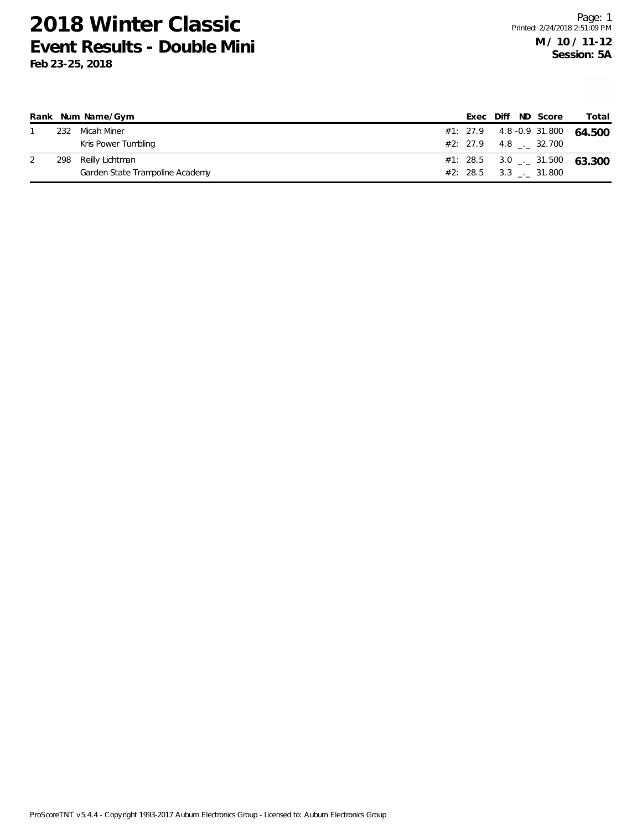|     | Rank Num Name/Gym               |  |  | Exec Diff ND Score        | Total                                    |
|-----|---------------------------------|--|--|---------------------------|------------------------------------------|
|     | 232 Micah Miner                 |  |  |                           | #1: 27.9 4.8 -0.9 31.800 64.500          |
|     | Kris Power Tumbling             |  |  | #2: 27.9 4.8 . 32.700     |                                          |
| 298 | Reilly Lichtman                 |  |  |                           | #1: 28.5 3.0 $\frac{1}{2}$ 31.500 63.300 |
|     | Garden State Trampoline Academy |  |  | $#2: 28.5 \t3.3 \t31.800$ |                                          |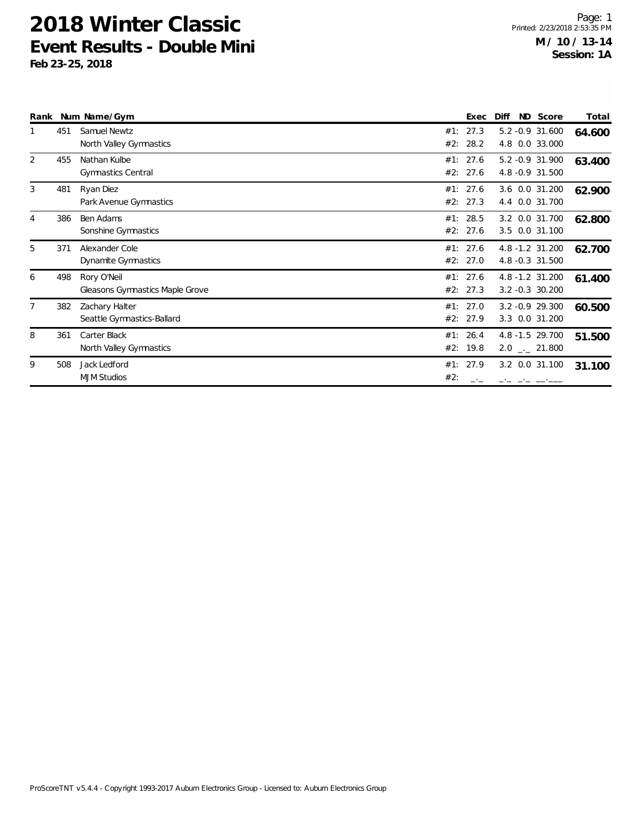| Rank           |     | Num Name/Gym                                          |            | Exec                 | Diff | ND Score                              | Total  |
|----------------|-----|-------------------------------------------------------|------------|----------------------|------|---------------------------------------|--------|
|                | 451 | Samuel Newtz<br>North Valley Gymnastics               | #1:<br>#2: | 27.3<br>28.2         |      | 5.2 -0.9 31.600<br>4.8 0.0 33.000     | 64.600 |
| 2              | 455 | Nathan Kulbe<br><b>Gymnastics Central</b>             |            | #1: 27.6<br>#2: 27.6 |      | 5.2 -0.9 31.900<br>4.8 - 0.9 31.500   | 63.400 |
| 3              | 481 | Ryan Diez<br>Park Avenue Gymnastics                   |            | #1: 27.6<br>#2: 27.3 |      | 3.6 0.0 31.200<br>4.4 0.0 31.700      | 62.900 |
| $\overline{4}$ | 386 | Ben Adams<br>Sonshine Gymnastics                      | #1:        | 28.5<br>#2: 27.6     |      | 3.2 0.0 31.700<br>3.5 0.0 31.100      | 62.800 |
| 5              | 371 | Alexander Cole<br>Dynamite Gymnastics                 |            | #1: 27.6<br>#2: 27.0 |      | 4.8 -1.2 31.200<br>4.8 -0.3 31.500    | 62.700 |
| 6              | 498 | Rory O'Neil<br><b>Gleasons Gymnastics Maple Grove</b> |            | #1: 27.6<br>#2: 27.3 |      | 4.8 -1.2 31.200<br>$3.2 - 0.3$ 30.200 | 61.400 |
| 7              | 382 | Zachary Halter<br>Seattle Gymnastics-Ballard          |            | #1: 27.0<br>#2: 27.9 |      | 3.2 - 0.9 29.300<br>3.3 0.0 31.200    | 60.500 |
| 8              | 361 | Carter Black<br>North Valley Gymnastics               |            | #1: 26.4<br>#2: 19.8 |      | 4.8 -1.5 29.700<br>$2.0$ _._ 21.800   | 51.500 |
| 9              | 508 | Jack Ledford<br><b>MJM Studios</b>                    | #1:<br>#2: | 27.9                 |      | 3.2 0.0 31.100                        | 31.100 |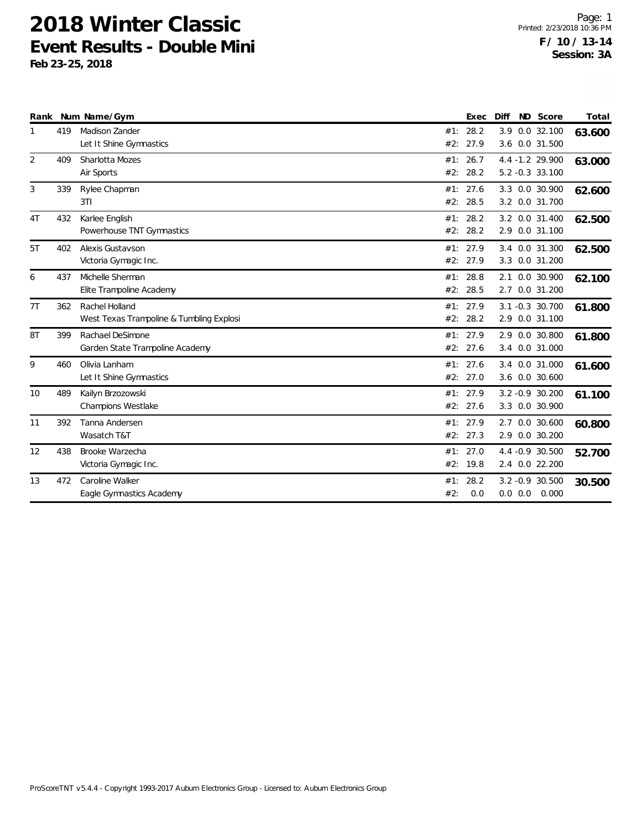| Rank |     | Num Name/Gym                                               |            | Exec                 | Diff       | ND Score                                 | Total  |
|------|-----|------------------------------------------------------------|------------|----------------------|------------|------------------------------------------|--------|
|      | 419 | Madison Zander<br>Let It Shine Gymnastics                  | #1:<br>#2: | 28.2<br>27.9         | 3.9<br>3.6 | $0.0$ 32.100<br>0.0 31.500               | 63.600 |
| 2    | 409 | Sharlotta Mozes<br>Air Sports                              | #1:<br>#2: | 26.7<br>28.2         |            | 4.4 -1.2 29.900<br>$5.2 -0.3$ 33.100     | 63.000 |
| 3    | 339 | Rylee Chapman<br>3T1                                       | #1:<br>#2: | 27.6<br>28.5         |            | 3.3 0.0 30.900<br>3.2 0.0 31.700         | 62.600 |
| 4T   | 432 | Karlee English<br>Powerhouse TNT Gymnastics                | #1:<br>#2: | 28.2<br>28.2         | 3.2        | 0.0 31.400<br>2.9 0.0 31.100             | 62.500 |
| 5T   | 402 | Alexis Gustavson<br>Victoria Gymagic Inc.                  | #2:        | #1: 27.9<br>27.9     |            | 3.4 0.0 31.300<br>3.3 0.0 31.200         | 62.500 |
| 6    | 437 | Michelle Sherman<br>Elite Trampoline Academy               | #1:<br>#2: | 28.8<br>28.5         | 2.1<br>2.7 | 0.0 30.900<br>0.0 31.200                 | 62.100 |
| 7T   | 362 | Rachel Holland<br>West Texas Trampoline & Tumbling Explosi | #1:<br>#2: | 27.9<br>28.2         |            | 3.1 -0.3 30.700<br>2.9 0.0 31.100        | 61.800 |
| 8T   | 399 | Rachael DeSimone<br>Garden State Trampoline Academy        | #1:<br>#2: | 27.9<br>27.6         |            | 2.9 0.0 30.800<br>3.4 0.0 31.000         | 61.800 |
| 9    | 460 | Olivia Lanham<br>Let It Shine Gymnastics                   | #1:        | 27.6<br>#2: 27.0     | 3.4        | 0.0 31.000<br>3.6 0.0 30.600             | 61.600 |
| 10   | 489 | Kailyn Brzozowski<br>Champions Westlake                    |            | #1: 27.9<br>#2: 27.6 |            | 3.2 -0.9 30.200<br>3.3 0.0 30.900        | 61.100 |
| 11   | 392 | Tanna Andersen<br>Wasatch T&T                              | #1:        | 27.9<br>#2: 27.3     | 2.7        | 0.0 30.600<br>2.9 0.0 30.200             | 60.800 |
| 12   | 438 | Brooke Warzecha<br>Victoria Gymagic Inc.                   | #2:        | #1: 27.0<br>19.8     |            | 4.4 -0.9 30.500<br>2.4 0.0 22.200        | 52.700 |
| 13   | 472 | Caroline Walker<br>Eagle Gymnastics Academy                | #1:<br>#2: | 28.2<br>0.0          |            | $3.2 -0.9$ 30.500<br>$0.0$ $0.0$ $0.000$ | 30.500 |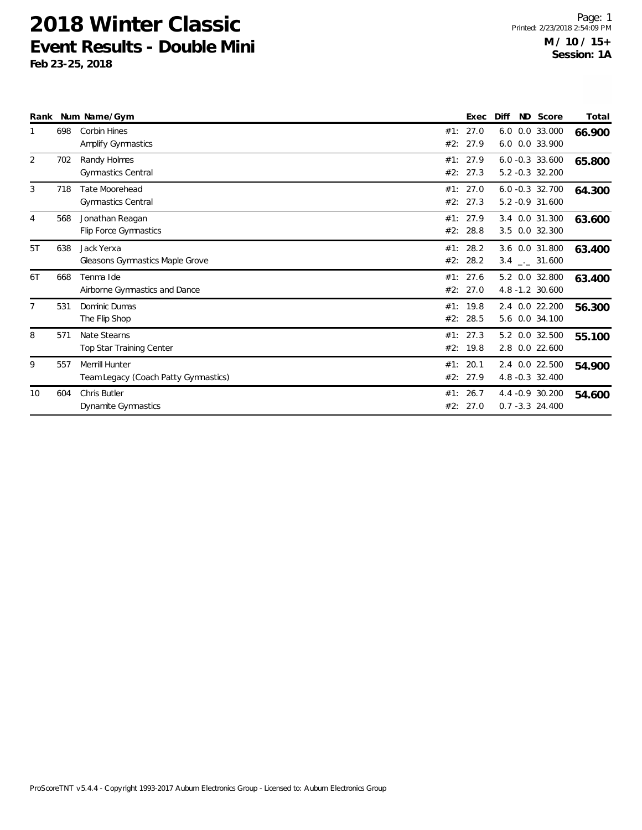| Rank           |     | Num Name/Gym                                                  |            | Exec                 | Diff | ND Score                                       | Total  |
|----------------|-----|---------------------------------------------------------------|------------|----------------------|------|------------------------------------------------|--------|
|                | 698 | <b>Corbin Hines</b><br>Amplify Gymnastics                     | #1:<br>#2: | 27.0<br>27.9         |      | 6.0 0.0 33.000<br>6.0 0.0 33.900               | 66.900 |
| 2              | 702 | Randy Holmes<br><b>Gymnastics Central</b>                     |            | #1: 27.9<br>#2: 27.3 |      | $6.0 - 0.3$ 33.600<br>5.2 -0.3 32.200          | 65.800 |
| 3              | 718 | <b>Tate Moorehead</b><br><b>Gymnastics Central</b>            |            | #1: 27.0<br>#2: 27.3 |      | $6.0 - 0.3$ 32.700<br>5.2 -0.9 31.600          | 64.300 |
| 4              | 568 | Jonathan Reagan<br>Flip Force Gymnastics                      | #2:        | #1: 27.9<br>28.8     |      | 3.4 0.0 31.300<br>3.5 0.0 32.300               | 63.600 |
| 5T             | 638 | Jack Yerxa<br>Gleasons Gymnastics Maple Grove                 | #1:<br>#2: | 28.2<br>28.2         |      | 3.6 0.0 31.800<br>$3.4$ $_{\leftarrow}$ 31.600 | 63.400 |
| 6T             | 668 | Tenma Ide<br>Airborne Gymnastics and Dance                    | #1:        | 27.6<br>#2: 27.0     |      | 5.2 0.0 32.800<br>4.8 -1.2 30.600              | 63.400 |
| $\overline{7}$ | 531 | Dominic Dumas<br>The Flip Shop                                |            | #1: 19.8<br>#2: 28.5 |      | 2.4 0.0 22.200<br>5.6 0.0 34.100               | 56.300 |
| 8              | 571 | Nate Stearns<br>Top Star Training Center                      |            | #1: 27.3<br>#2: 19.8 |      | 5.2 0.0 32.500<br>2.8 0.0 22.600               | 55.100 |
| 9              | 557 | <b>Merrill Hunter</b><br>Team Legacy (Coach Patty Gymnastics) | #1:        | 20.1<br>#2: 27.9     |      | 2.4 0.0 22.500<br>4.8 -0.3 32.400              | 54.900 |
| 10             | 604 | Chris Butler<br>Dynamite Gymnastics                           | #1:        | 26.7<br>#2: 27.0     |      | 4.4 - 0.9 30.200<br>$0.7 - 3.3$ 24.400         | 54.600 |